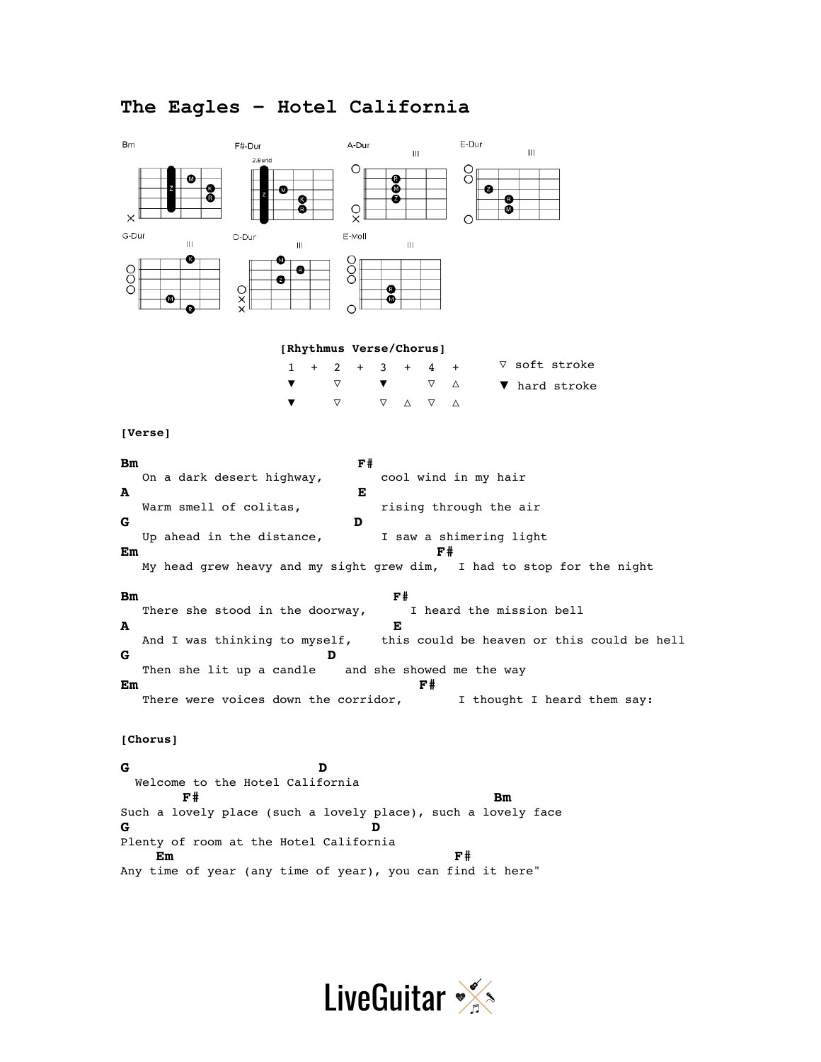# **The Eagles – Hotel California**



**Em** F# Any time of year (any time of year), you can find it here"